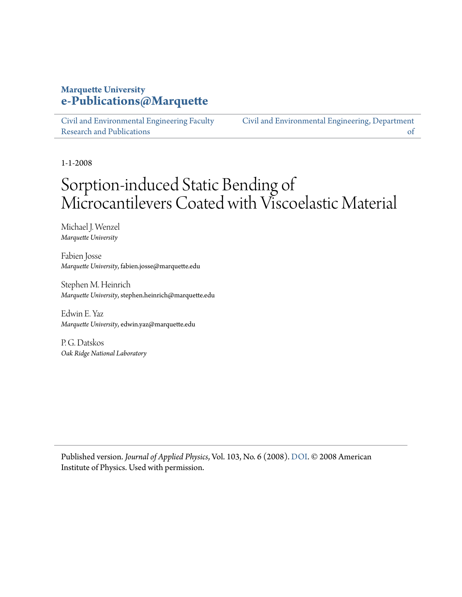# **Marquette University [e-Publications@Marquette](https://epublications.marquette.edu)**

[Civil and Environmental Engineering Faculty](https://epublications.marquette.edu/civengin_fac) [Research and Publications](https://epublications.marquette.edu/civengin_fac)

[Civil and Environmental Engineering, Department](https://epublications.marquette.edu/civengin) [of](https://epublications.marquette.edu/civengin)

1-1-2008

# Sorption-induced Static Bending of Microcantilevers Coated with Viscoelastic Material

Michael J. Wenzel *Marquette University*

Fabien Josse *Marquette University*, fabien.josse@marquette.edu

Stephen M. Heinrich *Marquette University*, stephen.heinrich@marquette.edu

Edwin E. Yaz *Marquette University*, edwin.yaz@marquette.edu

P. G. Datskos *Oak Ridge National Laboratory*

Published version. *Journal of Applied Physics*, Vol. 103, No. 6 (2008). [DOI.](http://dx.doi.org/10.1063/1.2902500) © 2008 American Institute of Physics. Used with permission.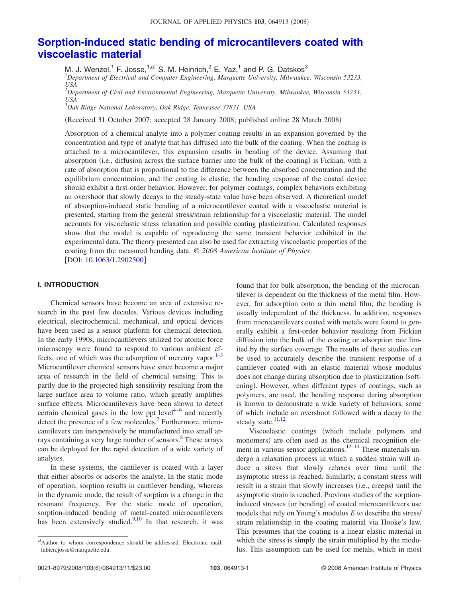# **[Sorption-induced static bending of microcantilevers coated with](http://dx.doi.org/10.1063/1.2902500) [viscoelastic material](http://dx.doi.org/10.1063/1.2902500)**

M. J. Wenzel,<sup>1</sup> F. Josse,<sup>1[,a](#page-1-0))</sup> S. M. Heinrich,<sup>2</sup> E. Yaz,<sup>1</sup> and P. G. Datskos<sup>3</sup><br><sup>1</sup>Department of Electrical and Computer Engineering, Marquette University, Milwaukee, Wisconsin 53233,

*USA*

2 *Department of Civil and Environmental Engineering, Marquette University, Milwaukee, Wisconsin 53233,*  $\frac{USA}{3O}$ 

*Oak Ridge National Laboratory, Oak Ridge, Tennessee 37831, USA*

(Received 31 October 2007; accepted 28 January 2008; published online 28 March 2008)

Absorption of a chemical analyte into a polymer coating results in an expansion governed by the concentration and type of analyte that has diffused into the bulk of the coating. When the coating is attached to a microcantilever, this expansion results in bending of the device. Assuming that absorption (i.e., diffusion across the surface barrier into the bulk of the coating) is Fickian, with a rate of absorption that is proportional to the difference between the absorbed concentration and the equilibrium concentration, and the coating is elastic, the bending response of the coated device should exhibit a first-order behavior. However, for polymer coatings, complex behaviors exhibiting an overshoot that slowly decays to the steady-state value have been observed. A theoretical model of absorption-induced static bending of a microcantilever coated with a viscoelastic material is presented, starting from the general stress/strain relationship for a viscoelastic material. The model accounts for viscoelastic stress relaxation and possible coating plasticization. Calculated responses show that the model is capable of reproducing the same transient behavior exhibited in the experimental data. The theory presented can also be used for extracting viscoelastic properties of the coating from the measured bending data. © *2008 American Institute of Physics*. [DOI:  $10.1063/1.2902500$ ]

# **I. INTRODUCTION**

Chemical sensors have become an area of extensive research in the past few decades. Various devices including electrical, electrochemical, mechanical, and optical devices have been used as a sensor platform for chemical detection. In the early 1990s, microcantilevers utilized for atomic force microscopy were found to respond to various ambient effects, one of which was the adsorption of mercury vapor. $1-3$  $1-3$ Microcantilever chemical sensors have since become a major area of research in the field of chemical sensing. This is partly due to the projected high sensitivity resulting from the large surface area to volume ratio, which greatly amplifies surface effects. Microcantilevers have been shown to detect certain chemical gases in the low ppt level<sup> $4-6$  $4-6$ </sup> and recently detect the presence of a few molecules.<sup>[7](#page-11-4)</sup> Furthermore, microcantilevers can inexpensively be manufactured into small arrays containing a very large number of sensors.<sup>8</sup> These arrays can be deployed for the rapid detection of a wide variety of analytes.

In these systems, the cantilever is coated with a layer that either absorbs or adsorbs the analyte. In the static mode of operation, sorption results in cantilever bending, whereas in the dynamic mode, the result of sorption is a change in the resonant frequency. For the static mode of operation, sorption-induced bending of metal-coated microcantilevers has been extensively studied. $9,10$  $9,10$  In that research, it was

found that for bulk absorption, the bending of the microcantilever is dependent on the thickness of the metal film. However, for adsorption onto a thin metal film, the bending is usually independent of the thickness. In addition, responses from microcantilevers coated with metals were found to generally exhibit a first-order behavior resulting from Fickian diffusion into the bulk of the coating or adsorption rate limited by the surface coverage. The results of these studies can be used to accurately describe the transient response of a cantilever coated with an elastic material whose modulus does not change during absorption due to plasticization (softening). However, when different types of coatings, such as polymers, are used, the bending response during absorption is known to demonstrate a wide variety of behaviors, some of which include an overshoot followed with a decay to the steady state. $\frac{11,12}{2}$  $\frac{11,12}{2}$  $\frac{11,12}{2}$ 

Viscoelastic coatings (which include polymers and monomers) are often used as the chemical recognition ele-ment in various sensor applications.<sup>[12](#page-11-9)[–14](#page-11-10)</sup> These materials undergo a relaxation process in which a sudden strain will induce a stress that slowly relaxes over time until the asymptotic stress is reached. Similarly, a constant stress will result in a strain that slowly increases (i.e., creeps) until the asymptotic strain is reached. Previous studies of the sorptioninduced stresses (or bending) of coated microcantilevers use models that rely on Young's modulus *E* to describe the stress/ strain relationship in the coating material via Hooke's law. This presumes that the coating is a linear elastic material in which the stress is simply the strain multiplied by the modulus. This assumption can be used for metals, which in most

<span id="page-1-0"></span>a)Author to whom correspondence should be addressed. Electronic mail: fabien.josse@marquette.edu.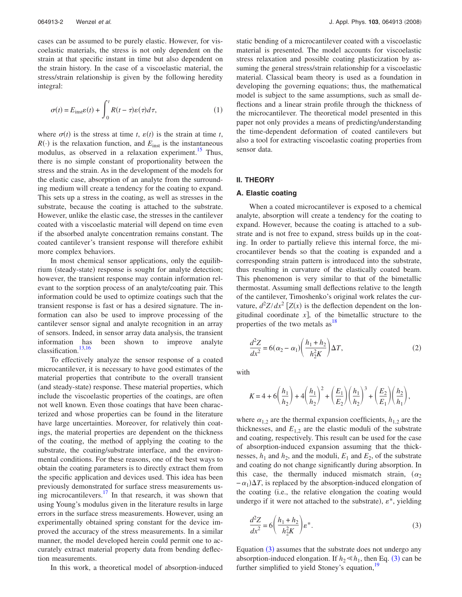cases can be assumed to be purely elastic. However, for viscoelastic materials, the stress is not only dependent on the strain at that specific instant in time but also dependent on the strain history. In the case of a viscoelastic material, the stress/strain relationship is given by the following heredity integral:

<span id="page-2-1"></span>
$$
\sigma(t) = E_{\text{inst}} \varepsilon(t) + \int_0^t R(t - \tau) \varepsilon(\tau) d\tau,
$$
\n(1)

where  $\sigma(t)$  is the stress at time *t*,  $\varepsilon(t)$  is the strain at time *t*,  $R(\cdot)$  is the relaxation function, and  $E_{\text{inst}}$  is the instantaneous modulus, as observed in a relaxation experiment.<sup>15</sup> Thus, there is no simple constant of proportionality between the stress and the strain. As in the development of the models for the elastic case, absorption of an analyte from the surrounding medium will create a tendency for the coating to expand. This sets up a stress in the coating, as well as stresses in the substrate, because the coating is attached to the substrate. However, unlike the elastic case, the stresses in the cantilever coated with a viscoelastic material will depend on time even if the absorbed analyte concentration remains constant. The coated cantilever's transient response will therefore exhibit more complex behaviors.

In most chemical sensor applications, only the equilibrium (steady-state) response is sought for analyte detection; however, the transient response may contain information relevant to the sorption process of an analyte/coating pair. This information could be used to optimize coatings such that the transient response is fast or has a desired signature. The information can also be used to improve processing of the cantilever sensor signal and analyte recognition in an array of sensors. Indeed, in sensor array data analysis, the transient information has been shown to improve analyte classification.[13](#page-11-12)[,16](#page-11-13)

To effectively analyze the sensor response of a coated microcantilever, it is necessary to have good estimates of the material properties that contribute to the overall transient (and steady-state) response. These material properties, which include the viscoelastic properties of the coatings, are often not well known. Even those coatings that have been characterized and whose properties can be found in the literature have large uncertainties. Moreover, for relatively thin coatings, the material properties are dependent on the thickness of the coating, the method of applying the coating to the substrate, the coating/substrate interface, and the environmental conditions. For these reasons, one of the best ways to obtain the coating parameters is to directly extract them from the specific application and devices used. This idea has been previously demonstrated for surface stress measurements using microcantilevers.<sup>17</sup> In that research, it was shown that using Young's modulus given in the literature results in large errors in the surface stress measurements. However, using an experimentally obtained spring constant for the device improved the accuracy of the stress measurements. In a similar manner, the model developed herein could permit one to accurately extract material property data from bending deflection measurements.

static bending of a microcantilever coated with a viscoelastic material is presented. The model accounts for viscoelastic stress relaxation and possible coating plasticization by assuming the general stress/strain relationship for a viscoelastic material. Classical beam theory is used as a foundation in developing the governing equations; thus, the mathematical model is subject to the same assumptions, such as small deflections and a linear strain profile through the thickness of the microcantilever. The theoretical model presented in this paper not only provides a means of predicting/understanding the time-dependent deformation of coated cantilevers but also a tool for extracting viscoelastic coating properties from sensor data.

#### **II. THEORY**

#### **A. Elastic coating**

When a coated microcantilever is exposed to a chemical analyte, absorption will create a tendency for the coating to expand. However, because the coating is attached to a substrate and is not free to expand, stress builds up in the coating. In order to partially relieve this internal force, the microcantilever bends so that the coating is expanded and a corresponding strain pattern is introduced into the substrate, thus resulting in curvature of the elastically coated beam. This phenomenon is very similar to that of the bimetallic thermostat. Assuming small deflections relative to the length of the cantilever, Timoshenko's original work relates the curvature,  $d^2Z/dx^2$   $[Z(x)]$  is the deflection dependent on the longitudinal coordinate  $x$ , of the bimetallic structure to the properties of the two metals  $as<sup>18</sup>$ 

$$
\frac{d^2Z}{dx^2} = 6(\alpha_2 - \alpha_1) \left( \frac{h_1 + h_2}{h_2^2 K} \right) \Delta T,\tag{2}
$$

with

$$
K = 4 + 6\left(\frac{h_1}{h_2}\right) + 4\left(\frac{h_1}{h_2}\right)^2 + \left(\frac{E_1}{E_2}\right)\left(\frac{h_1}{h_2}\right)^3 + \left(\frac{E_2}{E_1}\right)\left(\frac{h_2}{h_1}\right),
$$

where  $\alpha_{1,2}$  are the thermal expansion coefficients,  $h_{1,2}$  are the thicknesses, and  $E_{1,2}$  are the elastic moduli of the substrate and coating, respectively. This result can be used for the case of absorption-induced expansion assuming that the thicknesses,  $h_1$  and  $h_2$ , and the moduli,  $E_1$  and  $E_2$ , of the substrate and coating do not change significantly during absorption. In this case, the thermally induced mismatch strain,  $(\alpha_2)$  $-\alpha_1$ ) $\Delta T$ , is replaced by the absorption-induced elongation of the coating (i.e., the relative elongation the coating would undergo if it were not attached to the substrate),  $\varepsilon^*$ , yielding

<span id="page-2-0"></span>
$$
\frac{d^2Z}{dx^2} = 6\left(\frac{h_1 + h_2}{h_2^2K}\right)\varepsilon^*.
$$
\n(3)

Equation  $(3)$  $(3)$  $(3)$  assumes that the substrate does not undergo any absorption-induced elongation. If  $h_2 \leq h_1$ , then Eq. ([3](#page-2-0)) can be further simplified to yield Stoney's equation,<sup>19</sup>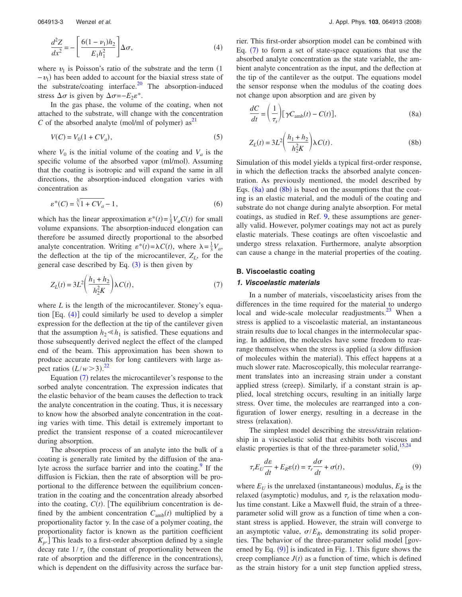<span id="page-3-0"></span>

$$
\frac{d^2Z}{dx^2} = -\left[\frac{6(1-\nu_1)h_2}{E_1h_1^2}\right]\Delta\sigma,\tag{4}
$$

where  $v_1$  is Poisson's ratio of the substrate and the term  $(1)$  $-v_1$ ) has been added to account for the biaxial stress state of the substrate/coating interface. $20$  The absorption-induced stress  $\Delta \sigma$  is given by  $\Delta \sigma = -E_2 \varepsilon^*$ .

In the gas phase, the volume of the coating, when not attached to the substrate, will change with the concentration C of the absorbed analyte (mol/ml of polymer) as<sup>[21](#page-11-18)</sup>

$$
V(C) = V_0(1 + CV_a),
$$
\n(5)

where  $V_0$  is the initial volume of the coating and  $V_a$  is the specific volume of the absorbed vapor (ml/mol). Assuming that the coating is isotropic and will expand the same in all directions, the absorption-induced elongation varies with concentration as

$$
\varepsilon^*(C) = \sqrt[3]{1 + CV_a} - 1,\tag{6}
$$

which has the linear approximation  $\varepsilon^*(t) = \frac{1}{3}V_aC(t)$  for small volume expansions. The absorption-induced elongation can therefore be assumed directly proportional to the absorbed analyte concentration. Writing  $\varepsilon^*(t) = \lambda C(t)$ , where  $\lambda = \frac{1}{3}V_a$ , the deflection at the tip of the microcantilever,  $Z_L$ , for the general case described by Eq.  $(3)$  $(3)$  $(3)$  is then given by

<span id="page-3-1"></span>
$$
Z_L(t) = 3L^2 \left( \frac{h_1 + h_2}{h_2^2 K} \right) \lambda C(t),
$$
 (7)

where *L* is the length of the microcantilever. Stoney's equation  $[Eq. (4)]$  $[Eq. (4)]$  $[Eq. (4)]$  could similarly be used to develop a simpler expression for the deflection at the tip of the cantilever given that the assumption  $h_2 \ll h_1$  is satisfied. These equations and those subsequently derived neglect the effect of the clamped end of the beam. This approximation has been shown to produce accurate results for long cantilevers with large aspect ratios  $(L/w > 3).^{22}$  $(L/w > 3).^{22}$  $(L/w > 3).^{22}$ 

Equation  $(7)$  $(7)$  $(7)$  relates the microcantilever's response to the sorbed analyte concentration. The expression indicates that the elastic behavior of the beam causes the deflection to track the analyte concentration in the coating. Thus, it is necessary to know how the absorbed analyte concentration in the coating varies with time. This detail is extremely important to predict the transient response of a coated microcantilever during absorption.

The absorption process of an analyte into the bulk of a coating is generally rate limited by the diffusion of the analyte across the surface barrier and into the coating. $9$  If the diffusion is Fickian, then the rate of absorption will be proportional to the difference between the equilibrium concentration in the coating and the concentration already absorbed into the coating,  $C(t)$ . [The equilibrium concentration is defined by the ambient concentration  $C_{\text{amb}}(t)$  multiplied by a proportionality factor  $\gamma$ . In the case of a polymer coating, the proportionality factor is known as the partition coefficient  $K_p$ . This leads to a first-order absorption defined by a single decay rate  $1/\tau_s$  (the constant of proportionality between the rate of absorption and the difference in the concentrations), which is dependent on the diffusivity across the surface barrier. This first-order absorption model can be combined with Eq.  $(7)$  $(7)$  $(7)$  to form a set of state-space equations that use the absorbed analyte concentration as the state variable, the ambient analyte concentration as the input, and the deflection at the tip of the cantilever as the output. The equations model the sensor response when the modulus of the coating does not change upon absorption and are given by

<span id="page-3-2"></span>
$$
\frac{dC}{dt} = \left(\frac{1}{\tau_s}\right) [\gamma C_{\text{amb}}(t) - C(t)],\tag{8a}
$$

<span id="page-3-3"></span>
$$
Z_L(t) = 3L^2 \left(\frac{h_1 + h_2}{h_2^2 K}\right) \lambda C(t).
$$
 (8b)

Simulation of this model yields a typical first-order response, in which the deflection tracks the absorbed analyte concentration. As previously mentioned, the model described by Eqs.  $(8a)$  $(8a)$  $(8a)$  and  $(8b)$  $(8b)$  $(8b)$  is based on the assumptions that the coating is an elastic material, and the moduli of the coating and substrate do not change during analyte absorption. For metal coatings, as studied in Ref. [9,](#page-11-6) these assumptions are generally valid. However, polymer coatings may not act as purely elastic materials. These coatings are often viscoelastic and undergo stress relaxation. Furthermore, analyte absorption can cause a change in the material properties of the coating.

# **B. Viscoelastic coating**

# *1. Viscoelastic materials*

In a number of materials, viscoelasticity arises from the differences in the time required for the material to undergo local and wide-scale molecular readjustments. $^{23}$  $^{23}$  $^{23}$  When a stress is applied to a viscoelastic material, an instantaneous strain results due to local changes in the intermolecular spacing. In addition, the molecules have some freedom to rearrange themselves when the stress is applied (a slow diffusion of molecules within the material). This effect happens at a much slower rate. Macroscopically, this molecular rearrangement translates into an increasing strain under a constant applied stress (creep). Similarly, if a constant strain is applied, local stretching occurs, resulting in an initially large stress. Over time, the molecules are rearranged into a configuration of lower energy, resulting in a decrease in the stress (relaxation).

The simplest model describing the stress/strain relationship in a viscoelastic solid that exhibits both viscous and elastic properties is that of the three-parameter solid,<sup>15[,24](#page-11-21)</sup>

<span id="page-3-4"></span>
$$
\tau_r E_U \frac{d\varepsilon}{dt} + E_R \varepsilon(t) = \tau_r \frac{d\sigma}{dt} + \sigma(t),\tag{9}
$$

where  $E_U$  is the unrelaxed (instantaneous) modulus,  $E_R$  is the relaxed (asymptotic) modulus, and  $\tau_r$  is the relaxation modulus time constant. Like a Maxwell fluid, the strain of a threeparameter solid will grow as a function of time when a constant stress is applied. However, the strain will converge to an asymptotic value,  $\sigma/E_R$ , demonstrating its solid properties. The behavior of the three-parameter solid model [governed by Eq.  $(9)$  $(9)$  $(9)$ ] is indicated in Fig. [1.](#page-4-0) This figure shows the creep compliance  $J(t)$  as a function of time, which is defined as the strain history for a unit step function applied stress,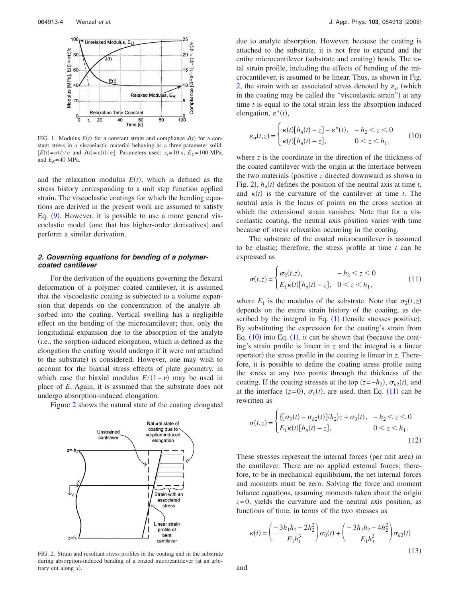<span id="page-4-0"></span>

FIG. 1. Modulus  $E(t)$  for a constant strain and compliance  $J(t)$  for a constant stress in a viscoelastic material behaving as a three-parameter solid.  $E(t) = \sigma(t)/\varepsilon$  and  $J(t) = \varepsilon(t)/\sigma$ . Parameters used:  $\tau_r = 10$  s,  $E_U = 100$  MPa, and  $E_R$ = 40 MPa.

and the relaxation modulus  $E(t)$ , which is defined as the stress history corresponding to a unit step function applied strain. The viscoelastic coatings for which the bending equations are derived in the present work are assumed to satisfy Eq. ([9](#page-3-4)). However, it is possible to use a more general viscoelastic model (one that has higher-order derivatives) and perform a similar derivation.

# *2. Governing equations for bending of a polymercoated cantilever*

For the derivation of the equations governing the flexural deformation of a polymer coated cantilever, it is assumed that the viscoelastic coating is subjected to a volume expansion that depends on the concentration of the analyte absorbed into the coating. Vertical swelling has a negligible effect on the bending of the microcantilever; thus, only the longitudinal expansion due to the absorption of the analyte i.e., the sorption-induced elongation, which is defined as the elongation the coating would undergo if it were not attached to the substrate) is considered. However, one may wish to account for the biaxial stress effects of plate geometry, in which case the biaxial modulus  $E/(1-\nu)$  may be used in place of *E*. Again, it is assumed that the substrate does not undergo absorption-induced elongation.

<span id="page-4-1"></span>Figure [2](#page-4-1) shows the natural state of the coating elongated



FIG. 2. Strain and resultant stress profiles in the coating and in the substrate during absorption-induced bending of a coated microcantilever (at an arbitrary cut along  $x$ ).

due to analyte absorption. However, because the coating is attached to the substrate, it is not free to expand and the entire microcantilever (substrate and coating) bends. The total strain profile, including the effects of bending of the microcantilever, is assumed to be linear. Thus, as shown in Fig. [2,](#page-4-1) the strain with an associated stress denoted by  $\varepsilon_{\sigma}$  (which in the coating may be called the "viscoelastic strain") at any time *t* is equal to the total strain less the absorption-induced elongation,  $\varepsilon^*(t)$ ,

<span id="page-4-2"></span>
$$
\varepsilon_{\sigma}(t,z) = \begin{cases} \kappa(t)[h_n(t) - z] - \varepsilon^*(t), & -h_2 < z < 0\\ \kappa(t)[h_n(t) - z], & 0 < z < h_1, \end{cases}
$$
(10)

where  $\zeta$  is the coordinate in the direction of the thickness of the coated cantilever with the origin at the interface between the two materials (positive  $z$  directed downward as shown in Fig. [2](#page-4-1)),  $h_n(t)$  defines the position of the neutral axis at time *t*, and  $\kappa(t)$  is the curvature of the cantilever at time *t*. The neutral axis is the locus of points on the cross section at which the extensional strain vanishes. Note that for a viscoelastic coating, the neutral axis position varies with time because of stress relaxation occurring in the coating.

The substrate of the coated microcantilever is assumed to be elastic; therefore, the stress profile at time *t* can be expressed as

<span id="page-4-3"></span>
$$
\sigma(t,z) = \begin{cases} \sigma_2(t,z), & -h_2 < z < 0\\ E_1 \kappa(t) [h_n(t) - z], & 0 < z < h_1, \end{cases}
$$
(11)

where  $E_1$  is the modulus of the substrate. Note that  $\sigma_2(t,z)$ depends on the entire strain history of the coating, as described by the integral in Eq.  $(1)$  $(1)$  $(1)$  (tensile stresses positive). By substituting the expression for the coating's strain from Eq.  $(10)$  $(10)$  $(10)$  into Eq.  $(1)$  $(1)$  $(1)$ , it can be shown that (because the coating's strain profile is linear in *z* and the integral is a linear operator) the stress profile in the coating is linear in *z*. Therefore, it is possible to define the coating stress profile using the stress at any two points through the thickness of the coating. If the coating stresses at the top  $(z = -h_2)$ ,  $\sigma_{h2}(t)$ , and at the interface  $(z=0)$ ,  $\sigma_0(t)$ , are used, then Eq. ([11](#page-4-3)) can be rewritten as

$$
\sigma(t,z) = \begin{cases} \{ [\sigma_0(t) - \sigma_{h2}(t)]/h_2 \} z + \sigma_0(t), & -h_2 < z < 0\\ E_1 \kappa(t) [h_n(t) - z], & 0 < z < h_1. \end{cases}
$$
(12)

These stresses represent the internal forces (per unit area) in the cantilever. There are no applied external forces; therefore, to be in mechanical equilibrium, the net internal forces and moments must be zero. Solving the force and moment balance equations, assuming moments taken about the origin  $z=0$ , yields the curvature and the neutral axis position, as functions of time, in terms of the two stresses as

<span id="page-4-4"></span>
$$
\kappa(t) = \left(\frac{-3h_1h_2 - 2h_2^2}{E_1h_1^3}\right)\sigma_0(t) + \left(\frac{-3h_1h_2 - 4h_2^2}{E_1h_1^3}\right)\sigma_{h2}(t)
$$
\n(13)

and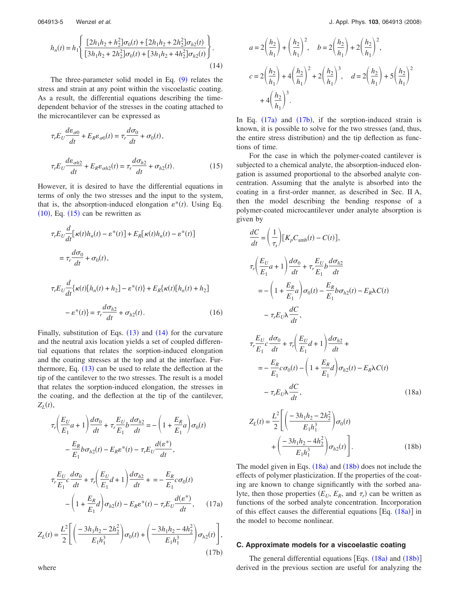$$
h_n(t) = h_1 \left\{ \frac{\left[2h_1h_2 + h_2^2\right]\sigma_0(t) + \left[2h_1h_2 + 2h_2^2\right]\sigma_{h2}(t)}{\left[3h_1h_2 + 2h_2^2\right]\sigma_0(t) + \left[3h_1h_2 + 4h_2^2\right]\sigma_{h2}(t)} \right\}.
$$
\n(14)

The three-parameter solid model in Eq.  $(9)$  $(9)$  $(9)$  relates the stress and strain at any point within the viscoelastic coating. As a result, the differential equations describing the timedependent behavior of the stresses in the coating attached to the microcantilever can be expressed as

<span id="page-5-0"></span>
$$
\tau_r E_U \frac{d\varepsilon_{\sigma 0}}{dt} + E_R \varepsilon_{\sigma 0}(t) = \tau_r \frac{d\sigma_0}{dt} + \sigma_0(t),
$$
  

$$
\tau_r E_U \frac{d\varepsilon_{\sigma h2}}{dt} + E_R \varepsilon_{\sigma h2}(t) = \tau_r \frac{d\sigma_{h2}}{dt} + \sigma_{h2}(t).
$$
 (15)

However, it is desired to have the differential equations in terms of only the two stresses and the input to the system, that is, the absorption-induced elongation  $\varepsilon^*(t)$ . Using Eq.  $(10)$  $(10)$  $(10)$ , Eq.  $(15)$  $(15)$  $(15)$  can be rewritten as

$$
\tau_r E_U \frac{d}{dt} [\kappa(t)h_n(t) - \varepsilon^*(t)] + E_R[\kappa(t)h_n(t) - \varepsilon^*(t)]
$$
  
\n
$$
= \tau_r \frac{d\sigma_0}{dt} + \sigma_0(t),
$$
  
\n
$$
\tau_r E_U \frac{d}{dt} {\kappa(t)[h_n(t) + h_2] - \varepsilon^*(t)} + E_R{\kappa(t)[h_n(t) + h_2]}
$$
  
\n
$$
- \varepsilon^*(t) = \tau_r \frac{d\sigma_{h2}}{dt} + \sigma_{h2}(t).
$$
 (16)

Finally, substitution of Eqs.  $(13)$  $(13)$  $(13)$  and  $(14)$  $(14)$  $(14)$  for the curvature and the neutral axis location yields a set of coupled differential equations that relates the sorption-induced elongation and the coating stresses at the top and at the interface. Furthermore, Eq.  $(13)$  $(13)$  $(13)$  can be used to relate the deflection at the tip of the cantilever to the two stresses. The result is a model that relates the sorption-induced elongation, the stresses in the coating, and the deflection at the tip of the cantilever,  $Z_L(t)$ ,

<span id="page-5-2"></span>
$$
\tau_r \bigg( \frac{E_U}{E_1} a + 1 \bigg) \frac{d\sigma_0}{dt} + \tau_r \frac{E_U}{E_1} b \frac{d\sigma_{h2}}{dt} = -\bigg( 1 + \frac{E_R}{E_1} a \bigg) \sigma_0(t)
$$

$$
- \frac{E_R}{E_1} b \sigma_{h2}(t) - E_R \varepsilon^*(t) - \tau_r E_U \frac{d(\varepsilon^*)}{dt},
$$

$$
\tau_r \frac{E_U}{E_1} c \frac{d\sigma_0}{dt} + \tau_r \bigg( \frac{E_U}{E_1} d + 1 \bigg) \frac{d\sigma_{h2}}{dt} + \varepsilon - \frac{E_R}{E_1} c \sigma_0(t)
$$

$$
- \bigg( 1 + \frac{E_R}{E_1} d \bigg) \sigma_{h2}(t) - E_R \varepsilon^*(t) - \tau_r E_U \frac{d(\varepsilon^*)}{dt}, \qquad (17a)
$$

<span id="page-5-3"></span>
$$
Z_L(t) = \frac{L^2}{2} \Bigg[ \left( \frac{-3h_1h_2 - 2h_2^2}{E_1h_1^3} \right) \sigma_0(t) + \left( \frac{-3h_1h_2 - 4h_2^2}{E_1h_1^3} \right) \sigma_{h2}(t) \Bigg],
$$
\n(17b)

<span id="page-5-1"></span>064913-5 Wenzel *et al.* J. Appl. Phys. **103**, 064913 -2008

$$
a = 2\left(\frac{h_2}{h_1}\right) + \left(\frac{h_2}{h_1}\right)^2, \quad b = 2\left(\frac{h_2}{h_1}\right) + 2\left(\frac{h_2}{h_1}\right)^2,
$$
  

$$
c = 2\left(\frac{h_2}{h_1}\right) + 4\left(\frac{h_2}{h_1}\right)^2 + 2\left(\frac{h_2}{h_1}\right)^3, \quad d = 2\left(\frac{h_2}{h_1}\right) + 5\left(\frac{h_2}{h_1}\right)^2
$$
  

$$
+ 4\left(\frac{h_2}{h_1}\right)^3.
$$

In Eq.  $(17a)$  $(17a)$  $(17a)$  and  $(17b)$  $(17b)$  $(17b)$ , if the sorption-induced strain is known, it is possible to solve for the two stresses (and, thus, the entire stress distribution) and the tip deflection as functions of time.

For the case in which the polymer-coated cantilever is subjected to a chemical analyte, the absorption-induced elongation is assumed proportional to the absorbed analyte concentration. Assuming that the analyte is absorbed into the coating in a first-order manner, as described in Sec. II A, then the model describing the bending response of a polymer-coated microcantilever under analyte absorption is given by

<span id="page-5-4"></span>
$$
\frac{dC}{dt} = \left(\frac{1}{\tau_s}\right) \left[K_p C_{amb}(t) - C(t)\right],
$$
\n
$$
\tau_r \left(\frac{E_U}{E_1} a + 1\right) \frac{d\sigma_0}{dt} + \tau_r \frac{E_U}{E_1} b \frac{d\sigma_{h2}}{dt}
$$
\n
$$
= -\left(1 + \frac{E_R}{E_1} a\right) \sigma_0(t) - \frac{E_R}{E_1} b \sigma_{h2}(t) - E_R \lambda C(t)
$$
\n
$$
- \tau_r E_U \lambda \frac{dC}{dt},
$$
\n
$$
\tau_r \frac{E_U}{E_1} c \frac{d\sigma_0}{dt} + \tau_r \left(\frac{E_U}{E_1} d + 1\right) \frac{d\sigma_{h2}}{dt} + \frac{E_R}{E_1} c \sigma_0(t) - \left(1 + \frac{E_R}{E_1} d\right) \sigma_{h2}(t) - E_R \lambda C(t)
$$

<span id="page-5-5"></span>
$$
-\tau_r E_{U} \lambda \frac{dC}{dt},
$$
\n
$$
Z_{L}(t) = \frac{L^2}{2} \left[ \left( \frac{-3h_1 h_2 - 2h_2^2}{E_1 h_1^3} \right) \sigma_0(t) + \left( \frac{-3h_1 h_2 - 4h_2^2}{E_1 h_1^3} \right) \sigma_{h2}(t) \right].
$$
\n(18b)

The model given in Eqs.  $(18a)$  $(18a)$  $(18a)$  and  $(18b)$  $(18b)$  $(18b)$  does not include the effects of polymer plasticization. If the properties of the coating are known to change significantly with the sorbed analyte, then those properties  $(E_U, E_R, \text{ and } \tau_r)$  can be written as functions of the sorbed analyte concentration. Incorporation of this effect causes the differential equations [Eq. ([18a](#page-5-4))] in the model to become nonlinear.

#### **C. Approximate models for a viscoelastic coating**

The general differential equations [Eqs.  $(18a)$  $(18a)$  $(18a)$  and  $(18b)$  $(18b)$  $(18b)$ ] derived in the previous section are useful for analyzing the

where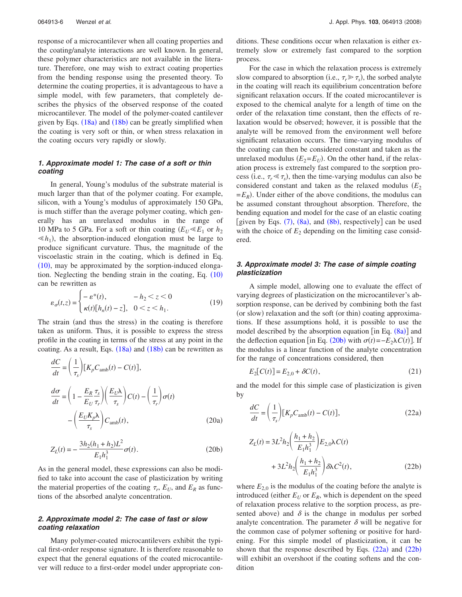response of a microcantilever when all coating properties and the coating/analyte interactions are well known. In general, these polymer characteristics are not available in the literature. Therefore, one may wish to extract coating properties from the bending response using the presented theory. To determine the coating properties, it is advantageous to have a simple model, with few parameters, that completely describes the physics of the observed response of the coated microcantilever. The model of the polymer-coated cantilever given by Eqs.  $(18a)$  $(18a)$  $(18a)$  and  $(18b)$  $(18b)$  $(18b)$  can be greatly simplified when the coating is very soft or thin, or when stress relaxation in the coating occurs very rapidly or slowly.

# *1. Approximate model 1: The case of a soft or thin coating*

In general, Young's modulus of the substrate material is much larger than that of the polymer coating. For example, silicon, with a Young's modulus of approximately 150 GPa, is much stiffer than the average polymer coating, which generally has an unrelaxed modulus in the range of 10 MPa to 5 GPa. For a soft or thin coating  $(E_U \ll E_1)$  or  $h_2$  $\leq h_1$ ), the absorption-induced elongation must be large to produce significant curvature. Thus, the magnitude of the viscoelastic strain in the coating, which is defined in Eq.  $(10)$  $(10)$  $(10)$ , may be approximated by the sorption-induced elongation. Neglecting the bending strain in the coating, Eq.  $(10)$  $(10)$  $(10)$ can be rewritten as

$$
\varepsilon_{\sigma}(t,z) = \begin{cases}\n-\varepsilon^*(t), & -h_2 < z < 0 \\
\kappa(t)[h_n(t) - z], & 0 < z < h_1.\n\end{cases}
$$
\n(19)

The strain (and thus the stress) in the coating is therefore taken as uniform. Thus, it is possible to express the stress profile in the coating in terms of the stress at any point in the coating. As a result, Eqs. ([18a](#page-5-4)) and ([18b](#page-5-5)) can be rewritten as

<span id="page-6-3"></span>
$$
\frac{dC}{dt} = \left(\frac{1}{\tau_s}\right) \left[K_p C_{\text{amb}}(t) - C(t)\right],
$$
\n
$$
\frac{d\sigma}{dt} = \left(1 - \frac{E_R \tau_s}{E_U \tau_r}\right) \left(\frac{E_U \lambda}{\tau_s}\right) C(t) - \left(\frac{1}{\tau_r}\right) \sigma(t)
$$
\n
$$
- \left(\frac{E_U K_p \lambda}{\tau_s}\right) C_{\text{amb}}(t),
$$
\n(20a)

<span id="page-6-0"></span>
$$
Z_L(t) = -\frac{3h_2(h_1 + h_2)L^2}{E_1h_1^3}\sigma(t).
$$
 (20b)

As in the general model, these expressions can also be modified to take into account the case of plasticization by writing the material properties of the coating  $\tau_r$ ,  $E_U$ , and  $E_R$  as functions of the absorbed analyte concentration.

# *2. Approximate model 2: The case of fast or slow coating relaxation*

Many polymer-coated microcantilevers exhibit the typical first-order response signature. It is therefore reasonable to expect that the general equations of the coated microcantilever will reduce to a first-order model under appropriate conditions. These conditions occur when relaxation is either extremely slow or extremely fast compared to the sorption process.

For the case in which the relaxation process is extremely slow compared to absorption (i.e.,  $\tau_r \gg \tau_s$ ), the sorbed analyte in the coating will reach its equilibrium concentration before significant relaxation occurs. If the coated microcantilever is exposed to the chemical analyte for a length of time on the order of the relaxation time constant, then the effects of relaxation would be observed; however, it is possible that the analyte will be removed from the environment well before significant relaxation occurs. The time-varying modulus of the coating can then be considered constant and taken as the unrelaxed modulus  $(E_2 = E_U)$ . On the other hand, if the relaxation process is extremely fast compared to the sorption process (i.e.,  $\tau_r \le \tau_s$ ), then the time-varying modulus can also be considered constant and taken as the relaxed modulus  $(E_2)$  $=E_R$ ). Under either of the above conditions, the modulus can be assumed constant throughout absorption. Therefore, the bending equation and model for the case of an elastic coating [given by Eqs.  $(7)$  $(7)$  $(7)$ ,  $(8a)$  $(8a)$  $(8a)$ , and  $(8b)$  $(8b)$  $(8b)$ , respectively] can be used with the choice of  $E_2$  depending on the limiting case considered.

# *3. Approximate model 3: The case of simple coating plasticization*

A simple model, allowing one to evaluate the effect of varying degrees of plasticization on the microcantilever's absorption response, can be derived by combining both the fast (or slow) relaxation and the soft (or thin) coating approximations. If these assumptions hold, it is possible to use the model described by the absorption equation [in Eq.  $(8a)$  $(8a)$  $(8a)$ ] and the deflection equation [in Eq. ([20b](#page-6-0)) with  $\sigma(t) = -E_2 \lambda C(t)$ ]. If the modulus is a linear function of the analyte concentration for the range of concentrations considered, then

$$
E_2[C(t)] = E_{2,0} + \delta C(t),\tag{21}
$$

and the model for this simple case of plasticization is given by

<span id="page-6-1"></span>
$$
\frac{dC}{dt} = \left(\frac{1}{\tau_s}\right) \left[K_p C_{\text{amb}}(t) - C(t)\right],\tag{22a}
$$

<span id="page-6-2"></span>
$$
Z_{L}(t) = 3L^{2}h_{2}\left(\frac{h_{1} + h_{2}}{E_{1}h_{1}^{3}}\right)E_{2,0}\lambda C(t) + 3L^{2}h_{2}\left(\frac{h_{1} + h_{2}}{E_{1}h_{1}^{3}}\right)\delta\lambda C^{2}(t),
$$
\n(22b)

where  $E_{2,0}$  is the modulus of the coating before the analyte is introduced (either  $E_U$  or  $E_R$ , which is dependent on the speed of relaxation process relative to the sorption process, as presented above) and  $\delta$  is the change in modulus per sorbed analyte concentration. The parameter  $\delta$  will be negative for the common case of polymer softening or positive for hardening. For this simple model of plasticization, it can be shown that the response described by Eqs.  $(22a)$  $(22a)$  $(22a)$  and  $(22b)$  $(22b)$  $(22b)$ will exhibit an overshoot if the coating softens and the condition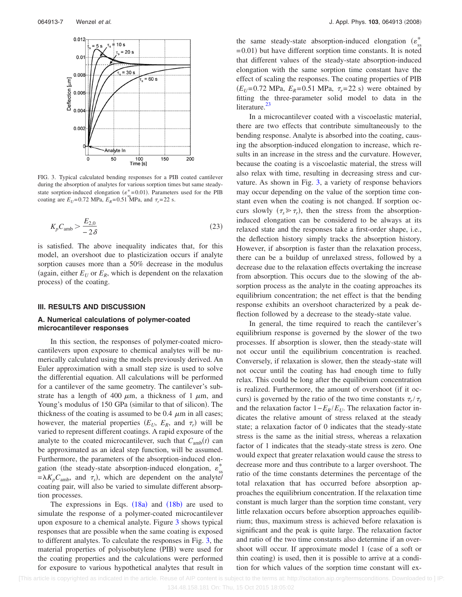<span id="page-7-0"></span>

FIG. 3. Typical calculated bending responses for a PIB coated cantilever during the absorption of analytes for various sorption times but same steadystate sorption-induced elongation ( $\varepsilon^*$ =0.01). Parameters used for the PIB coating are  $E_U$ =0.72 MPa,  $E_R$ =0.51 MPa, and  $\tau_r$ =22 s.

<span id="page-7-1"></span>
$$
K_p C_{\rm amb} > \frac{E_{2,0}}{-2\delta} \tag{23}
$$

is satisfied. The above inequality indicates that, for this model, an overshoot due to plasticization occurs if analyte sorption causes more than a 50% decrease in the modulus (again, either  $E_U$  or  $E_R$ , which is dependent on the relaxation process) of the coating.

#### **III. RESULTS AND DISCUSSION**

# **A. Numerical calculations of polymer-coated microcantilever responses**

In this section, the responses of polymer-coated microcantilevers upon exposure to chemical analytes will be numerically calculated using the models previously derived. An Euler approximation with a small step size is used to solve the differential equation. All calculations will be performed for a cantilever of the same geometry. The cantilever's substrate has a length of 400  $\mu$ m, a thickness of 1  $\mu$ m, and Young's modulus of 150 GPa (similar to that of silicon). The thickness of the coating is assumed to be 0.4  $\mu$ m in all cases; however, the material properties  $(E_U, E_R, \text{ and } \tau_r)$  will be varied to represent different coatings. A rapid exposure of the analyte to the coated microcantilever, such that  $C_{\text{amb}}(t)$  can be approximated as an ideal step function, will be assumed. Furthermore, the parameters of the absorption-induced elongation (the steady-state absorption-induced elongation,  $\varepsilon_{ss}^{*}$  $=\lambda K_p C_{\text{amb}}$ , and  $\tau_s$ ), which are dependent on the analyte/ coating pair, will also be varied to simulate different absorption processes.

The expressions in Eqs.  $(18a)$  $(18a)$  $(18a)$  and  $(18b)$  $(18b)$  $(18b)$  are used to simulate the response of a polymer-coated microcantilever upon exposure to a chemical analyte. Figure [3](#page-7-0) shows typical responses that are possible when the same coating is exposed to different analytes. To calculate the responses in Fig. [3,](#page-7-0) the material properties of polyisobutylene (PIB) were used for the coating properties and the calculations were performed for exposure to various hypothetical analytes that result in

the same steady-state absorption-induced elongation  $(\epsilon_{ss}^*)$  $= 0.01$ ) but have different sorption time constants. It is noted that different values of the steady-state absorption-induced elongation with the same sorption time constant have the effect of scaling the responses. The coating properties of PIB  $(E_U=0.72 \text{ MPa}, E_R=0.51 \text{ MPa}, \tau_r=22 \text{ s})$  were obtained by fitting the three-parameter solid model to data in the literature.<sup>23</sup>

In a microcantilever coated with a viscoelastic material, there are two effects that contribute simultaneously to the bending response. Analyte is absorbed into the coating, causing the absorption-induced elongation to increase, which results in an increase in the stress and the curvature. However, because the coating is a viscoelastic material, the stress will also relax with time, resulting in decreasing stress and curvature. As shown in Fig. [3,](#page-7-0) a variety of response behaviors may occur depending on the value of the sorption time constant even when the coating is not changed. If sorption occurs slowly  $(\tau_s \gg \tau_r)$ , then the stress from the absorptioninduced elongation can be considered to be always at its relaxed state and the responses take a first-order shape, i.e., the deflection history simply tracks the absorption history. However, if absorption is faster than the relaxation process, there can be a buildup of unrelaxed stress, followed by a decrease due to the relaxation effects overtaking the increase from absorption. This occurs due to the slowing of the absorption process as the analyte in the coating approaches its equilibrium concentration; the net effect is that the bending response exhibits an overshoot characterized by a peak deflection followed by a decrease to the steady-state value.

In general, the time required to reach the cantilever's equilibrium response is governed by the slower of the two processes. If absorption is slower, then the steady-state will not occur until the equilibrium concentration is reached. Conversely, if relaxation is slower, then the steady-state will not occur until the coating has had enough time to fully relax. This could be long after the equilibrium concentration is realized. Furthermore, the amount of overshoot (if it occurs) is governed by the ratio of the two time constants  $\tau_r/\tau_s$ and the relaxation factor  $1-E_R/E_U$ . The relaxation factor indicates the relative amount of stress relaxed at the steady state; a relaxation factor of 0 indicates that the steady-state stress is the same as the initial stress, whereas a relaxation factor of 1 indicates that the steady-state stress is zero. One would expect that greater relaxation would cause the stress to decrease more and thus contribute to a larger overshoot. The ratio of the time constants determines the percentage of the total relaxation that has occurred before absorption approaches the equilibrium concentration. If the relaxation time constant is much larger than the sorption time constant, very little relaxation occurs before absorption approaches equilibrium; thus, maximum stress is achieved before relaxation is significant and the peak is quite large. The relaxation factor and ratio of the two time constants also determine if an overshoot will occur. If approximate model 1 (case of a soft or thin coating) is used, then it is possible to arrive at a condition for which values of the sorption time constant will ex-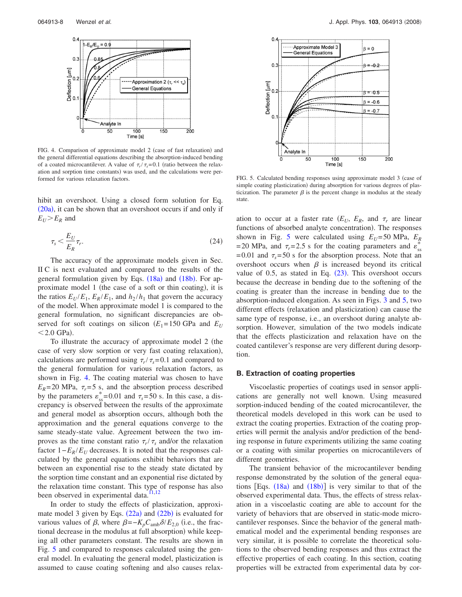<span id="page-8-0"></span>

FIG. 4. Comparison of approximate model 2 (case of fast relaxation) and the general differential equations describing the absorption-induced bending of a coated microcantilever. A value of  $\tau_r/\tau_s = 0.1$  (ratio between the relaxation and sorption time constants) was used, and the calculations were performed for various relaxation factors. FIG. 5. Calculated bending responses using approximate model 3 case of

hibit an overshoot. Using a closed form solution for Eq. ([20a](#page-6-3)), it can be shown that an overshoot occurs if and only if  $E_U$   $>E_R$  and

$$
\tau_s < \frac{E_U}{E_R} \tau_r. \tag{24}
$$

The accuracy of the approximate models given in Sec. II C is next evaluated and compared to the results of the general formulation given by Eqs. ([18a](#page-5-4)) and ([18b](#page-5-5)). For approximate model 1 (the case of a soft or thin coating), it is the ratios  $E_U/E_1$ ,  $E_R/E_1$ , and  $h_2/h_1$  that govern the accuracy of the model. When approximate model 1 is compared to the general formulation, no significant discrepancies are observed for soft coatings on silicon  $(E_1 = 150 \text{ GPa}$  and  $E_U$  $<$  2.0 GPa).

To illustrate the accuracy of approximate model 2 (the case of very slow sorption or very fast coating relaxation), calculations are performed using  $\tau_r/\tau_s$ =0.1 and compared to the general formulation for various relaxation factors, as shown in Fig. [4.](#page-8-0) The coating material was chosen to have  $E_R$ = 20 MPa,  $\tau_r$ = 5 s, and the absorption process described by the parameters  $\varepsilon_{ss}^*$ =0.01 and  $\tau_s$ =50 s. In this case, a discrepancy is observed between the results of the approximate and general model as absorption occurs, although both the approximation and the general equations converge to the same steady-state value. Agreement between the two improves as the time constant ratio  $\tau_r/\tau_s$  and/or the relaxation factor  $1-E_R/E_U$  decreases. It is noted that the responses calculated by the general equations exhibit behaviors that are between an exponential rise to the steady state dictated by the sorption time constant and an exponential rise dictated by the relaxation time constant. This type of response has also been observed in experimental data.

In order to study the effects of plasticization, approximate model 3 given by Eqs.  $(22a)$  $(22a)$  $(22a)$  and  $(22b)$  $(22b)$  $(22b)$  is evaluated for various values of  $\beta$ , where  $\beta = -K_p C_{amb} \delta/E_{2,0}$  (i.e., the fractional decrease in the modulus at full absorption) while keeping all other parameters constant. The results are shown in Fig. [5](#page-8-1) and compared to responses calculated using the general model. In evaluating the general model, plasticization is assumed to cause coating softening and also causes relax-

<span id="page-8-1"></span>

simple coating plasticization) during absorption for various degrees of plasticization. The parameter  $\beta$  is the percent change in modulus at the steady state.

ation to occur at a faster rate  $(E_U, E_R, \text{ and } \tau_r$  are linear functions of absorbed analyte concentration). The responses shown in Fig. [5](#page-8-1) were calculated using  $E_U = 50 \text{ MPa}$ ,  $E_R$ = 20 MPa, and  $\tau_r$  = 2.5 s for the coating parameters and  $\varepsilon_{ss}^*$  $= 0.01$  and  $\tau_s = 50$  s for the absorption process. Note that an overshoot occurs when  $\beta$  is increased beyond its critical value of 0.5, as stated in Eq.  $(23)$  $(23)$  $(23)$ . This overshoot occurs because the decrease in bending due to the softening of the coating is greater than the increase in bending due to the absorption-induced elongation. As seen in Figs. [3](#page-7-0) and [5,](#page-8-1) two different effects (relaxation and plasticization) can cause the same type of response, i.e., an overshoot during analyte absorption. However, simulation of the two models indicate that the effects plasticization and relaxation have on the coated cantilever's response are very different during desorption.

#### **B. Extraction of coating properties**

Viscoelastic properties of coatings used in sensor applications are generally not well known. Using measured sorption-induced bending of the coated microcantilever, the theoretical models developed in this work can be used to extract the coating properties. Extraction of the coating properties will permit the analysis and/or prediction of the bending response in future experiments utilizing the same coating or a coating with similar properties on microcantilevers of different geometries.

The transient behavior of the microcantilever bending response demonstrated by the solution of the general equations  $[Eqs. (18a)$  $[Eqs. (18a)$  $[Eqs. (18a)$  and  $(18b)]$  $(18b)]$  $(18b)]$  is very similar to that of the observed experimental data. Thus, the effects of stress relaxation in a viscoelastic coating are able to account for the variety of behaviors that are observed in static-mode microcantilever responses. Since the behavior of the general mathematical model and the experimental bending responses are very similar, it is possible to correlate the theoretical solutions to the observed bending responses and thus extract the effective properties of each coating. In this section, coating properties will be extracted from experimental data by cor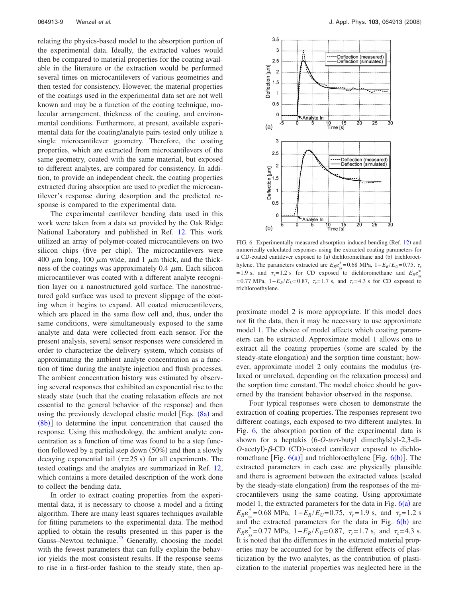relating the physics-based model to the absorption portion of the experimental data. Ideally, the extracted values would then be compared to material properties for the coating available in the literature or the extraction would be performed several times on microcantilevers of various geometries and then tested for consistency. However, the material properties of the coatings used in the experimental data set are not well known and may be a function of the coating technique, molecular arrangement, thickness of the coating, and environmental conditions. Furthermore, at present, available experimental data for the coating/analyte pairs tested only utilize a single microcantilever geometry. Therefore, the coating properties, which are extracted from microcantilevers of the same geometry, coated with the same material, but exposed to different analytes, are compared for consistency. In addition, to provide an independent check, the coating properties extracted during absorption are used to predict the microcantilever's response during desorption and the predicted response is compared to the experimental data.

The experimental cantilever bending data used in this work were taken from a data set provided by the Oak Ridge National Laboratory and published in Ref. [12.](#page-11-9) This work utilized an array of polymer-coated microcantilevers on two silicon chips (five per chip). The microcantilevers were 400  $\mu$ m long, 100  $\mu$ m wide, and 1  $\mu$ m thick, and the thickness of the coatings was approximately 0.4  $\mu$ m. Each silicon microcantilever was coated with a different analyte recognition layer on a nanostructured gold surface. The nanostructured gold surface was used to prevent slippage of the coating when it begins to expand. All coated microcantilevers, which are placed in the same flow cell and, thus, under the same conditions, were simultaneously exposed to the same analyte and data were collected from each sensor. For the present analysis, several sensor responses were considered in order to characterize the delivery system, which consists of approximating the ambient analyte concentration as a function of time during the analyte injection and flush processes. The ambient concentration history was estimated by observing several responses that exhibited an exponential rise to the steady state (such that the coating relaxation effects are not essential to the general behavior of the response) and then using the previously developed elastic model [Eqs. ([8a](#page-3-2)) and  $(8b)$  $(8b)$  $(8b)$ ] to determine the input concentration that caused the response. Using this methodology, the ambient analyte concentration as a function of time was found to be a step function followed by a partial step down (50%) and then a slowly decaying exponential tail ( $\tau = 25$  s) for all experiments. The tested coatings and the analytes are summarized in Ref. [12,](#page-11-9) which contains a more detailed description of the work done to collect the bending data.

In order to extract coating properties from the experimental data, it is necessary to choose a model and a fitting algorithm. There are many least squares techniques available for fitting parameters to the experimental data. The method applied to obtain the results presented in this paper is the Gauss–Newton technique. $^{25}$  Generally, choosing the model with the fewest parameters that can fully explain the behavior yields the most consistent results. If the response seems to rise in a first-order fashion to the steady state, then ap-

<span id="page-9-0"></span>

FIG. 6. Experimentally measured absorption-induced bending (Ref. [12](#page-11-9)) and numerically calculated responses using the extracted coating parameters for a CD-coated cantilever exposed to (a) dichloromethane and (b) trichloroethylene. The parameters extracted are  $E_R \varepsilon_{ss}^* = 0.68$  MPa,  $1 - E_R / E_U = 0.75$ ,  $\tau_r$  $= 1.9$  s, and  $\tau_s = 1.2$  s for CD exposed to dichloromethane and  $E_R \epsilon_{ss}^*$ = 0.77 MPa, 1−*E<sub>R</sub>*/*E<sub>U</sub>* = 0.87,  $τ_r$  = 1.7 s, and  $τ_s$  = 4.3 s for CD exposed to trichloroethylene.

proximate model 2 is more appropriate. If this model does not fit the data, then it may be necessary to use approximate model 1. The choice of model affects which coating parameters can be extracted. Approximate model 1 allows one to extract all the coating properties (some are scaled by the steady-state elongation) and the sorption time constant; however, approximate model 2 only contains the modulus (relaxed or unrelaxed, depending on the relaxation process) and the sorption time constant. The model choice should be governed by the transient behavior observed in the response.

Four typical responses were chosen to demonstrate the extraction of coating properties. The responses represent two different coatings, each exposed to two different analytes. In Fig. [6,](#page-9-0) the absorption portion of the experimental data is shown for a heptakis 6-*O*-*tert*-butyl dimethylslyl-2,3-di- $O$ -acetyl)- $\beta$ -CD (CD)-coated cantilever exposed to dichloromethane [Fig.  $6(a)$  $6(a)$ ] and trichloroethylene [Fig.  $6(b)$ ]. The extracted parameters in each case are physically plausible and there is agreement between the extracted values (scaled by the steady-state elongation) from the responses of the microcantilevers using the same coating. Using approximate model 1, the extracted parameters for the data in Fig.  $6(a)$  $6(a)$  are  $E_R \varepsilon_{ss}^* = 0.68 \text{ MPa}, \ \ 1 - E_R / E_U = 0.75, \ \ \tau_r = 1.9 \text{ s}, \ \text{and} \ \ \tau_s = 1.2 \text{ s}$ and the extracted parameters for the data in Fig.  $6(b)$  $6(b)$  are  $E_R \varepsilon_{ss}^* = 0.77 \text{ MPa}, \ 1 - E_R / E_U = 0.87, \ \tau_r = 1.7 \text{ s}, \text{ and } \ \tau_s = 4.3 \text{ s}.$ It is noted that the differences in the extracted material properties may be accounted for by the different effects of plasticization by the two analytes, as the contribution of plasticization to the material properties was neglected here in the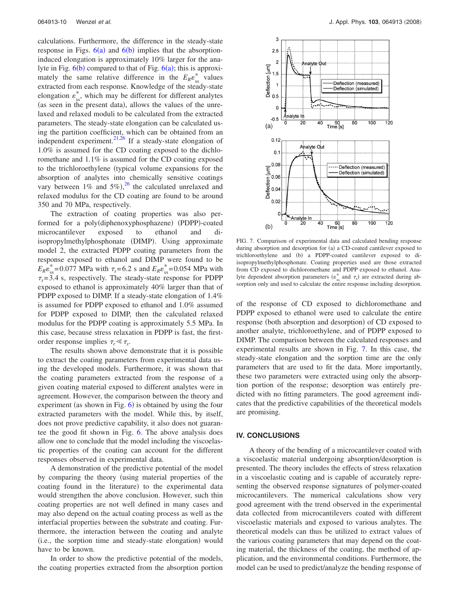calculations. Furthermore, the difference in the steady-state response in Figs.  $6(a)$  $6(a)$  and  $6(b)$  implies that the absorptioninduced elongation is approximately 10% larger for the analyte in Fig.  $6(b)$  $6(b)$  compared to that of Fig.  $6(a)$ ; this is approximately the same relative difference in the  $E_R \varepsilon_{ss}^*$  values extracted from each response. Knowledge of the steady-state elongation  $\varepsilon_{ss}^*$ , which may be different for different analytes (as seen in the present data), allows the values of the unrelaxed and relaxed moduli to be calculated from the extracted parameters. The steady-state elongation can be calculated using the partition coefficient, which can be obtained from an independent experiment. $2^{1,26}$  $2^{1,26}$  $2^{1,26}$  If a steady-state elongation of 1.0% is assumed for the CD coating exposed to the dichloromethane and 1.1% is assumed for the CD coating exposed to the trichloroethylene (typical volume expansions for the absorption of analytes into chemically sensitive coatings vary between  $1\%$  and  $5\%)$ , <sup>[26](#page-11-23)</sup> the calculated unrelaxed and relaxed modulus for the CD coating are found to be around 350 and 70 MPa, respectively.

The extraction of coating properties was also performed for a poly(diphenoxyphosphazene) (PDPP)-coated microcantilever exposed to ethanol and diisopropylmethylphosphonate (DIMP). Using approximate model 2, the extracted PDPP coating parameters from the response exposed to ethanol and DIMP were found to be  $E_R \varepsilon_{ss}^*$  = 0.077 MPa with  $\tau_s$  = 6.2 s and  $E_R \varepsilon_{ss}^*$  = 0.054 MPa with  $\tau_s$ = 3.4 s, respectively. The steady-state response for PDPP exposed to ethanol is approximately 40% larger than that of PDPP exposed to DIMP. If a steady-state elongation of 1.4% is assumed for PDPP exposed to ethanol and 1.0% assumed for PDPP exposed to DIMP, then the calculated relaxed modulus for the PDPP coating is approximately 5.5 MPa. In this case, because stress relaxation in PDPP is fast, the firstorder response implies  $\tau_r \ll \tau_s$ .

The results shown above demonstrate that it is possible to extract the coating parameters from experimental data using the developed models. Furthermore, it was shown that the coating parameters extracted from the response of a given coating material exposed to different analytes were in agreement. However, the comparison between the theory and experiment (as shown in Fig.  $6$ ) is obtained by using the four extracted parameters with the model. While this, by itself, does not prove predictive capability, it also does not guarantee the good fit shown in Fig. [6.](#page-9-0) The above analysis does allow one to conclude that the model including the viscoelastic properties of the coating can account for the different responses observed in experimental data.

A demonstration of the predictive potential of the model by comparing the theory using material properties of the coating found in the literature) to the experimental data would strengthen the above conclusion. However, such thin coating properties are not well defined in many cases and may also depend on the actual coating process as well as the interfacial properties between the substrate and coating. Furthermore, the interaction between the coating and analyte (i.e., the sorption time and steady-state elongation) would have to be known.

In order to show the predictive potential of the models, the coating properties extracted from the absorption portion

<span id="page-10-0"></span>

FIG. 7. Comparison of experimental data and calculated bending response during absorption and desorption for (a) a CD-coated cantilever exposed to trichloroethylene and (b) a PDPP-coated cantilever exposed to diisopropylmethylphosphonate. Coating properties used are those extracted from CD exposed to dichloromethane and PDPP exposed to ethanol. Analyte dependent absorption parameters ( $\varepsilon_{ss}^{*}$  and  $\tau_{s}$ ) are extracted during absorption only and used to calculate the entire response including desorption.

of the response of CD exposed to dichloromethane and PDPP exposed to ethanol were used to calculate the entire response (both absorption and desorption) of CD exposed to another analyte, trichloroethylene, and of PDPP exposed to DIMP. The comparison between the calculated responses and experimental results are shown in Fig. [7.](#page-10-0) In this case, the steady-state elongation and the sorption time are the only parameters that are used to fit the data. More importantly, these two parameters were extracted using only the absorption portion of the response; desorption was entirely predicted with no fitting parameters. The good agreement indicates that the predictive capabilities of the theoretical models are promising.

# **IV. CONCLUSIONS**

A theory of the bending of a microcantilever coated with a viscoelastic material undergoing absorption/desorption is presented. The theory includes the effects of stress relaxation in a viscoelastic coating and is capable of accurately representing the observed response signatures of polymer-coated microcantilevers. The numerical calculations show very good agreement with the trend observed in the experimental data collected from microcantilevers coated with different viscoelastic materials and exposed to various analytes. The theoretical models can thus be utilized to extract values of the various coating parameters that may depend on the coating material, the thickness of the coating, the method of application, and the environmental conditions. Furthermore, the model can be used to predict/analyze the bending response of